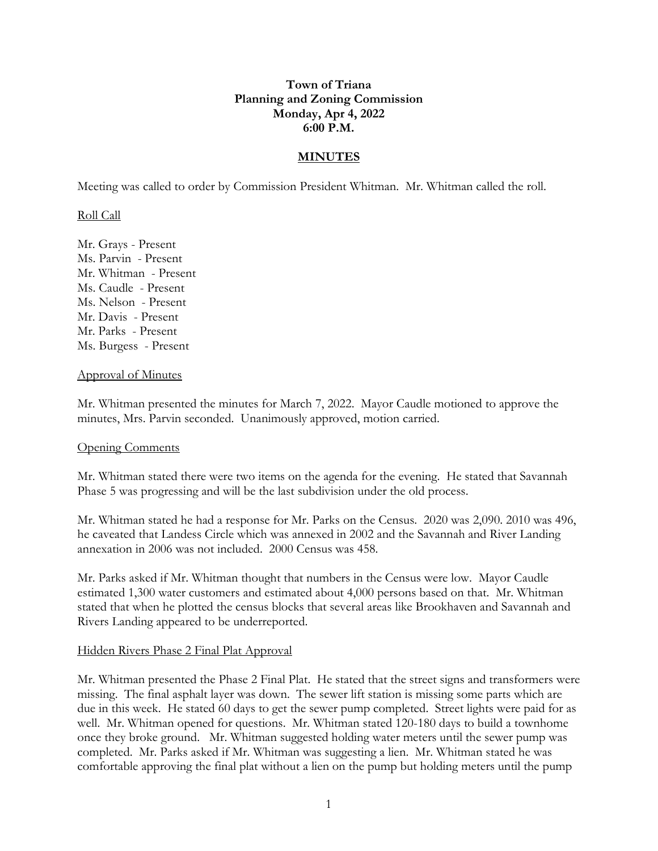# **Town of Triana Planning and Zoning Commission Monday, Apr 4, 2022 6:00 P.M.**

## **MINUTES**

Meeting was called to order by Commission President Whitman. Mr. Whitman called the roll.

## Roll Call

Mr. Grays - Present Ms. Parvin - Present Mr. Whitman - Present Ms. Caudle - Present Ms. Nelson - Present Mr. Davis - Present Mr. Parks - Present Ms. Burgess - Present

#### Approval of Minutes

Mr. Whitman presented the minutes for March 7, 2022. Mayor Caudle motioned to approve the minutes, Mrs. Parvin seconded. Unanimously approved, motion carried.

## Opening Comments

Mr. Whitman stated there were two items on the agenda for the evening. He stated that Savannah Phase 5 was progressing and will be the last subdivision under the old process.

Mr. Whitman stated he had a response for Mr. Parks on the Census. 2020 was 2,090. 2010 was 496, he caveated that Landess Circle which was annexed in 2002 and the Savannah and River Landing annexation in 2006 was not included. 2000 Census was 458.

Mr. Parks asked if Mr. Whitman thought that numbers in the Census were low. Mayor Caudle estimated 1,300 water customers and estimated about 4,000 persons based on that. Mr. Whitman stated that when he plotted the census blocks that several areas like Brookhaven and Savannah and Rivers Landing appeared to be underreported.

## Hidden Rivers Phase 2 Final Plat Approval

Mr. Whitman presented the Phase 2 Final Plat. He stated that the street signs and transformers were missing. The final asphalt layer was down. The sewer lift station is missing some parts which are due in this week. He stated 60 days to get the sewer pump completed. Street lights were paid for as well. Mr. Whitman opened for questions. Mr. Whitman stated 120-180 days to build a townhome once they broke ground. Mr. Whitman suggested holding water meters until the sewer pump was completed. Mr. Parks asked if Mr. Whitman was suggesting a lien. Mr. Whitman stated he was comfortable approving the final plat without a lien on the pump but holding meters until the pump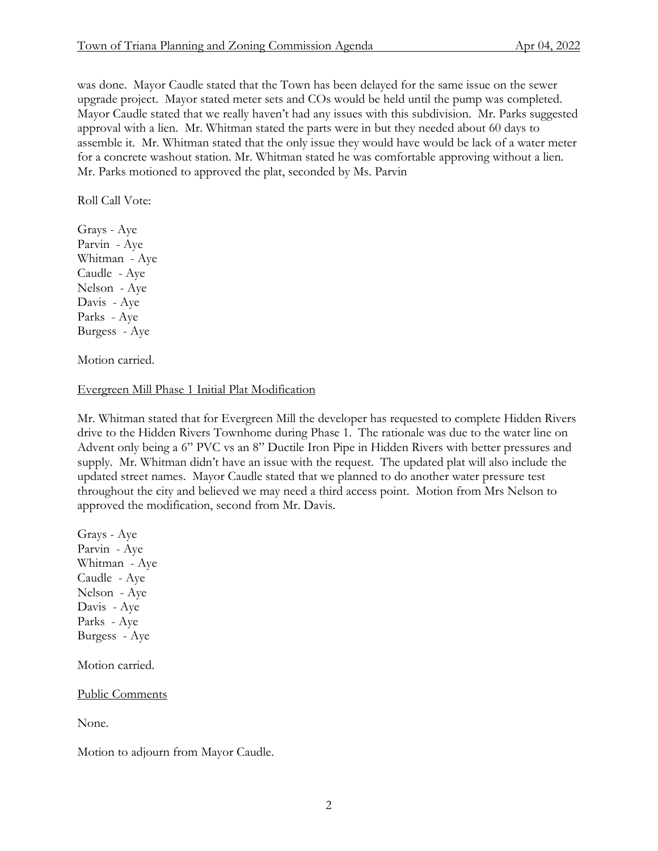was done. Mayor Caudle stated that the Town has been delayed for the same issue on the sewer upgrade project. Mayor stated meter sets and COs would be held until the pump was completed. Mayor Caudle stated that we really haven't had any issues with this subdivision. Mr. Parks suggested approval with a lien. Mr. Whitman stated the parts were in but they needed about 60 days to assemble it. Mr. Whitman stated that the only issue they would have would be lack of a water meter for a concrete washout station. Mr. Whitman stated he was comfortable approving without a lien. Mr. Parks motioned to approved the plat, seconded by Ms. Parvin

Roll Call Vote:

Grays - Aye Parvin - Aye Whitman - Aye Caudle - Aye Nelson - Aye Davis - Aye Parks - Aye Burgess - Aye

Motion carried.

## Evergreen Mill Phase 1 Initial Plat Modification

Mr. Whitman stated that for Evergreen Mill the developer has requested to complete Hidden Rivers drive to the Hidden Rivers Townhome during Phase 1. The rationale was due to the water line on Advent only being a 6" PVC vs an 8" Ductile Iron Pipe in Hidden Rivers with better pressures and supply. Mr. Whitman didn't have an issue with the request. The updated plat will also include the updated street names. Mayor Caudle stated that we planned to do another water pressure test throughout the city and believed we may need a third access point. Motion from Mrs Nelson to approved the modification, second from Mr. Davis.

Grays - Aye Parvin - Aye Whitman - Aye Caudle - Aye Nelson - Aye Davis - Aye Parks - Aye Burgess - Aye Motion carried.

Public Comments

None.

Motion to adjourn from Mayor Caudle.